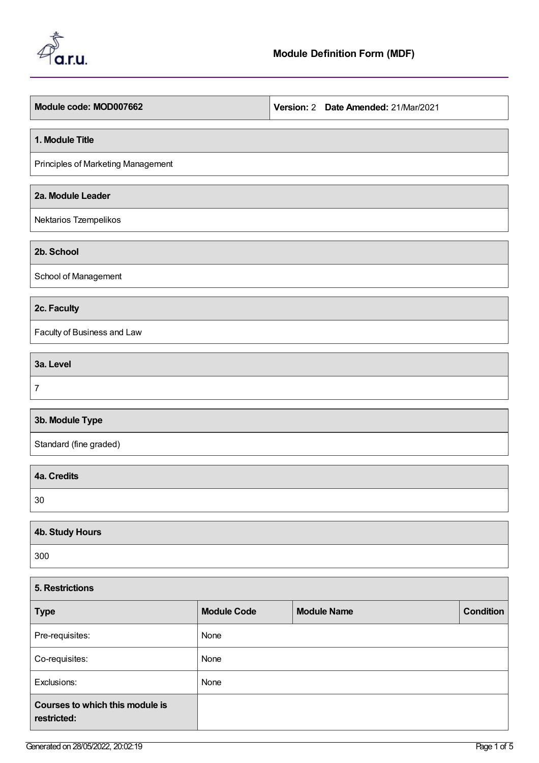

| Module code: MOD007662             | Version: 2 Date Amended: 21/Mar/2021 |
|------------------------------------|--------------------------------------|
| 1. Module Title                    |                                      |
| Principles of Marketing Management |                                      |
| 2a. Module Leader                  |                                      |
| Nektarios Tzempelikos              |                                      |
| 2b. School                         |                                      |
| School of Management               |                                      |
| 2c. Faculty                        |                                      |
| Faculty of Business and Law        |                                      |
| 3a. Level                          |                                      |
| $\overline{7}$                     |                                      |
| 3b. Module Type                    |                                      |
| Standard (fine graded)             |                                      |
| 4a. Credits                        |                                      |
| 30                                 |                                      |
| <b>4b. Study Hours</b>             |                                      |
| 300                                |                                      |
|                                    |                                      |

| 5. Restrictions                                |                    |                    |                  |  |
|------------------------------------------------|--------------------|--------------------|------------------|--|
| <b>Type</b>                                    | <b>Module Code</b> | <b>Module Name</b> | <b>Condition</b> |  |
| Pre-requisites:                                | None               |                    |                  |  |
| Co-requisites:                                 | None               |                    |                  |  |
| Exclusions:                                    | None               |                    |                  |  |
| Courses to which this module is<br>restricted: |                    |                    |                  |  |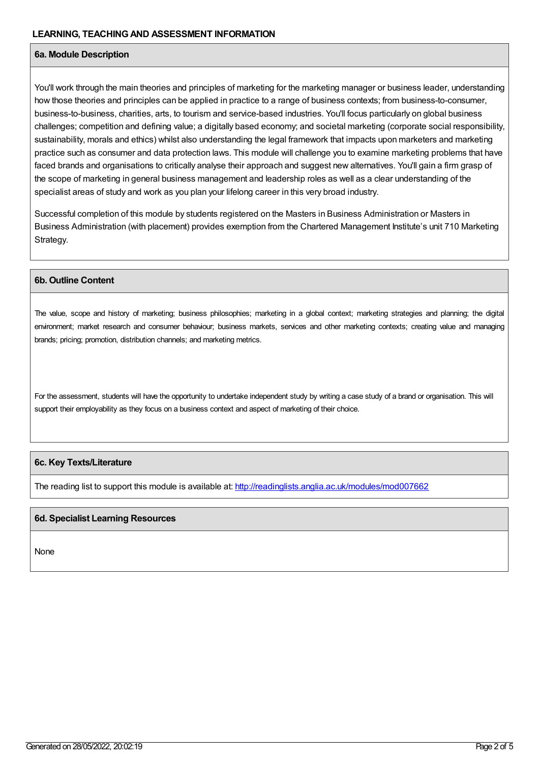## **6a. Module Description**

You'll work through the main theories and principles of marketing for the marketing manager or business leader, understanding how those theories and principles can be applied in practice to a range of business contexts; from business-to-consumer, business-to-business, charities, arts, to tourism and service-based industries. You'll focus particularly on global business challenges; competition and defining value; a digitally based economy; and societal marketing (corporate social responsibility, sustainability, morals and ethics) whilst also understanding the legal framework that impacts upon marketers and marketing practice such as consumer and data protection laws. This module will challenge you to examine marketing problems that have faced brands and organisations to critically analyse their approach and suggest new alternatives. You'll gain a firm grasp of the scope of marketing in general business management and leadership roles as well as a clear understanding of the specialist areas of study and work as you plan your lifelong career in this very broad industry.

Successful completion of this module by students registered on the Masters in Business Administration or Masters in Business Administration (with placement) provides exemption from the Chartered Management Institute's unit 710 Marketing Strategy.

## **6b. Outline Content**

The value, scope and history of marketing; business philosophies; marketing in a global context; marketing strategies and planning; the digital environment; market research and consumer behaviour; business markets, services and other marketing contexts; creating value and managing brands; pricing; promotion, distribution channels; and marketing metrics.

For the assessment, students will have the opportunity to undertake independent study by writing a case study of a brand or organisation. This will support their employability as they focus on a business context and aspect of marketing of their choice.

## **6c. Key Texts/Literature**

The reading list to support this module is available at: <http://readinglists.anglia.ac.uk/modules/mod007662>

## **6d. Specialist Learning Resources**

None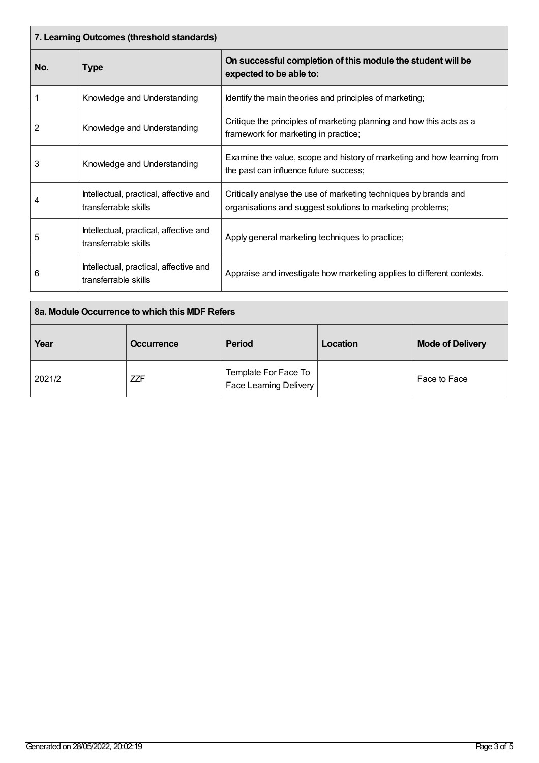| 7. Learning Outcomes (threshold standards) |                                                                |                                                                                                                                |  |  |
|--------------------------------------------|----------------------------------------------------------------|--------------------------------------------------------------------------------------------------------------------------------|--|--|
| No.                                        | Type                                                           | On successful completion of this module the student will be<br>expected to be able to:                                         |  |  |
|                                            | Knowledge and Understanding                                    | Identify the main theories and principles of marketing;                                                                        |  |  |
| 2                                          | Knowledge and Understanding                                    | Critique the principles of marketing planning and how this acts as a<br>framework for marketing in practice;                   |  |  |
| 3                                          | Knowledge and Understanding                                    | Examine the value, scope and history of marketing and how learning from<br>the past can influence future success;              |  |  |
| 4                                          | Intellectual, practical, affective and<br>transferrable skills | Critically analyse the use of marketing techniques by brands and<br>organisations and suggest solutions to marketing problems; |  |  |
| 5                                          | Intellectual, practical, affective and<br>transferrable skills | Apply general marketing techniques to practice;                                                                                |  |  |
| 6                                          | Intellectual, practical, affective and<br>transferrable skills | Appraise and investigate how marketing applies to different contexts.                                                          |  |  |

| 8a. Module Occurrence to which this MDF Refers |                   |                                                       |          |                         |
|------------------------------------------------|-------------------|-------------------------------------------------------|----------|-------------------------|
| Year                                           | <b>Occurrence</b> | <b>Period</b>                                         | Location | <b>Mode of Delivery</b> |
| 2021/2                                         | <b>ZZF</b>        | Template For Face To<br><b>Face Learning Delivery</b> |          | Face to Face            |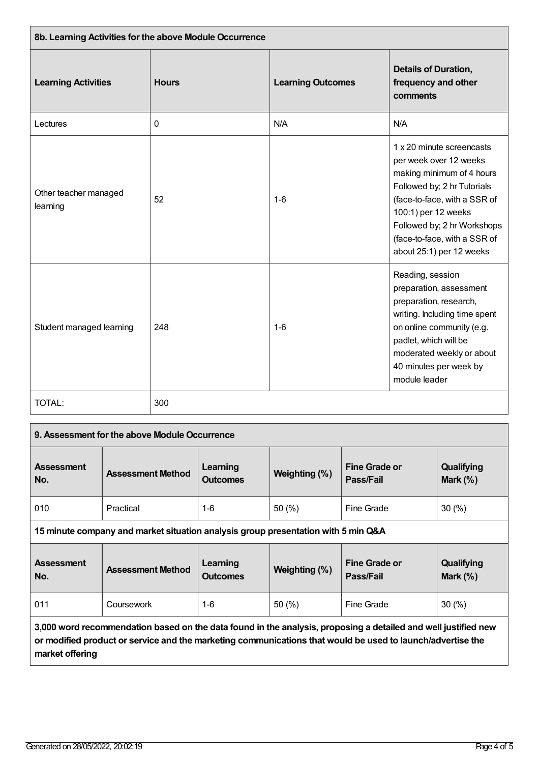| 8b. Learning Activities for the above Module Occurrence |              |                          |                                                                                                                                                                                                                                                                   |  |
|---------------------------------------------------------|--------------|--------------------------|-------------------------------------------------------------------------------------------------------------------------------------------------------------------------------------------------------------------------------------------------------------------|--|
| <b>Learning Activities</b>                              | <b>Hours</b> | <b>Learning Outcomes</b> | <b>Details of Duration,</b><br>frequency and other<br>comments                                                                                                                                                                                                    |  |
| Lectures                                                | 0            | N/A                      | N/A                                                                                                                                                                                                                                                               |  |
| Other teacher managed<br>learning                       | 52           | $1-6$                    | 1 x 20 minute screencasts<br>per week over 12 weeks<br>making minimum of 4 hours<br>Followed by; 2 hr Tutorials<br>(face-to-face, with a SSR of<br>100:1) per 12 weeks<br>Followed by; 2 hr Workshops<br>(face-to-face, with a SSR of<br>about 25:1) per 12 weeks |  |
| Student managed learning                                | 248          | $1-6$                    | Reading, session<br>preparation, assessment<br>preparation, research,<br>writing. Including time spent<br>on online community (e.g.<br>padlet, which will be<br>moderated weekly or about<br>40 minutes per week by<br>module leader                              |  |
| TOTAL:                                                  | 300          |                          |                                                                                                                                                                                                                                                                   |  |

| 9. Assessment for the above Module Occurrence                                                                                                                                                                                                   |                          |                             |               |                                   |                          |
|-------------------------------------------------------------------------------------------------------------------------------------------------------------------------------------------------------------------------------------------------|--------------------------|-----------------------------|---------------|-----------------------------------|--------------------------|
| <b>Assessment</b><br>No.                                                                                                                                                                                                                        | <b>Assessment Method</b> | Learning<br><b>Outcomes</b> | Weighting (%) | <b>Fine Grade or</b><br>Pass/Fail | Qualifying<br>Mark $(%)$ |
| 010                                                                                                                                                                                                                                             | Practical                | $1 - 6$                     | 50(%)         | Fine Grade                        | 30(%)                    |
| 15 minute company and market situation analysis group presentation with 5 min Q&A                                                                                                                                                               |                          |                             |               |                                   |                          |
| <b>Assessment</b><br>No.                                                                                                                                                                                                                        | <b>Assessment Method</b> | Learning<br><b>Outcomes</b> | Weighting (%) | <b>Fine Grade or</b><br>Pass/Fail | Qualifying<br>Mark $(%)$ |
| 011                                                                                                                                                                                                                                             | Coursework               | $1 - 6$                     | 50 $(% )$     | Fine Grade                        | 30(%)                    |
| 3,000 word recommendation based on the data found in the analysis, proposing a detailed and well justified new<br>or modified product or service and the marketing communications that would be used to launch/advertise the<br>market offering |                          |                             |               |                                   |                          |

ı